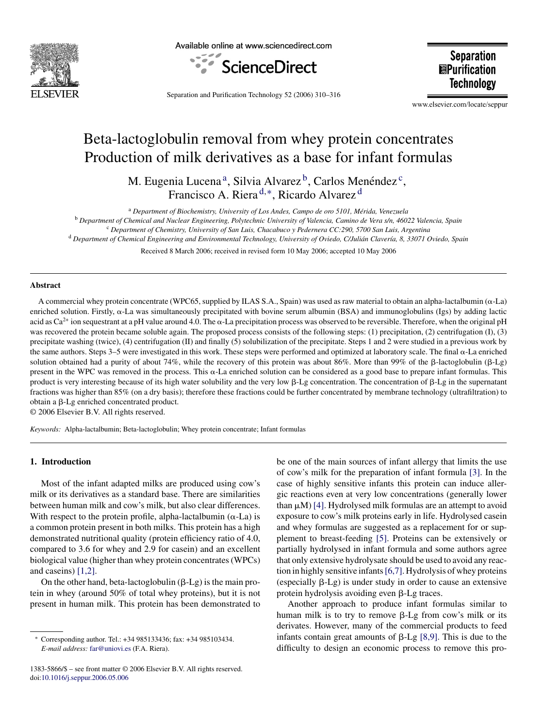

Available online at www.sciencedirect.com



**Separation EPurification Technology** 

Separation and Purification Technology 52 (2006) 310–316

www.elsevier.com/locate/seppur

# Beta-lactoglobulin removal from whey protein concentrates Production of milk derivatives as a base for infant formulas

M. Eugenia Lucena<sup>a</sup>, Silvia Alvarez<sup>b</sup>, Carlos Menéndez<sup>c</sup>, Francisco A. Riera <sup>d</sup>,∗, Ricardo Alvarez <sup>d</sup>

<sup>a</sup> Department of Biochemistry, University of Los Andes, Campo de oro 5101, Mérida, Venezuela

<sup>b</sup> *Department of Chemical and Nuclear Engineering, Polytechnic University of Valencia, Camino de Vera s/n, 46022 Valencia, Spain*

<sup>c</sup> *Department of Chemistry, University of San Luis, Chacabuco y Pedernera CC:290, 5700 San Luis, Argentina*

<sup>d</sup> Department of Chemical Engineering and Environmental Technology, University of Oviedo, C/Julián Clavería, 8, 33071 Oviedo, Spain

Received 8 March 2006; received in revised form 10 May 2006; accepted 10 May 2006

#### **Abstract**

A commercial whey protein concentrate (WPC65, supplied by ILAS S.A., Spain) was used as raw material to obtain an alpha-lactalbumin ( $\alpha$ -La) enriched solution. Firstly,  $\alpha$ -La was simultaneously precipitated with bovine serum albumin (BSA) and immunoglobulins (Igs) by adding lactic acid as  $Ca^{2+}$  ion sequestrant at a pH value around 4.0. The  $\alpha$ -La precipitation process was observed to be reversible. Therefore, when the original pH was recovered the protein became soluble again. The proposed process consists of the following steps: (1) precipitation, (2) centrifugation (I), (3) precipitate washing (twice), (4) centrifugation (II) and finally (5) solubilization of the precipitate. Steps 1 and 2 were studied in a previous work by the same authors. Steps 3–5 were investigated in this work. These steps were performed and optimized at laboratory scale. The final  $\alpha$ -La enriched solution obtained had a purity of about 74%, while the recovery of this protein was about 86%. More than 99% of the  $\beta$ -lactoglobulin ( $\beta$ -Lg) present in the WPC was removed in the process. This  $\alpha$ -La enriched solution can be considered as a good base to prepare infant formulas. This product is very interesting because of its high water solubility and the very low  $\beta$ -Lg concentration. The concentration of  $\beta$ -Lg in the supernatant fractions was higher than 85% (on a dry basis); therefore these fractions could be further concentrated by membrane technology (ultrafiltration) to obtain a  $\beta$ -Lg enriched concentrated product.

© 2006 Elsevier B.V. All rights reserved.

*Keywords:* Alpha-lactalbumin; Beta-lactoglobulin; Whey protein concentrate; Infant formulas

#### **1. Introduction**

Most of the infant adapted milks are produced using cow's milk or its derivatives as a standard base. There are similarities between human milk and cow's milk, but also clear differences. With respect to the protein profile, alpha-lactalbumin  $(\alpha$ -La) is a common protein present in both milks. This protein has a high demonstrated nutritional quality (protein efficiency ratio of 4.0, compared to 3.6 for whey and 2.9 for casein) and an excellent biological value (higher than whey protein concentrates (WPCs) and caseins) [\[1,2\].](#page-6-0)

On the other hand, beta-lactoglobulin  $(\beta$ -Lg) is the main protein in whey (around 50% of total whey proteins), but it is not present in human milk. This protein has been demonstrated to

1383-5866/\$ – see front matter © 2006 Elsevier B.V. All rights reserved. doi[:10.1016/j.seppur.2006.05.006](dx.doi.org/10.1016/j.seppur.2006.05.006)

be one of the main sources of infant allergy that limits the use of cow's milk for the preparation of infant formula [\[3\].](#page-6-0) In the case of highly sensitive infants this protein can induce allergic reactions even at very low concentrations (generally lower than  $\mu$ M) [\[4\]. H](#page-6-0)ydrolysed milk formulas are an attempt to avoid exposure to cow's milk proteins early in life. Hydrolysed casein and whey formulas are suggested as a replacement for or supplement to breast-feeding [\[5\].](#page-6-0) Proteins can be extensively or partially hydrolysed in infant formula and some authors agree that only extensive hydrolysate should be used to avoid any reaction in highly sensitive infants[\[6,7\]. H](#page-6-0)ydrolysis of whey proteins (especially  $\beta$ -Lg) is under study in order to cause an extensive protein hydrolysis avoiding even  $\beta$ -Lg traces.

Another approach to produce infant formulas similar to human milk is to try to remove  $\beta$ -Lg from cow's milk or its derivates. However, many of the commercial products to feed infants contain great amounts of  $\beta$ -Lg [\[8,9\].](#page-6-0) This is due to the difficulty to design an economic process to remove this pro-

<sup>∗</sup> Corresponding author. Tel.: +34 985133436; fax: +34 985103434. *E-mail address:* [far@uniovi.es](mailto:far@uniovi.es) (F.A. Riera).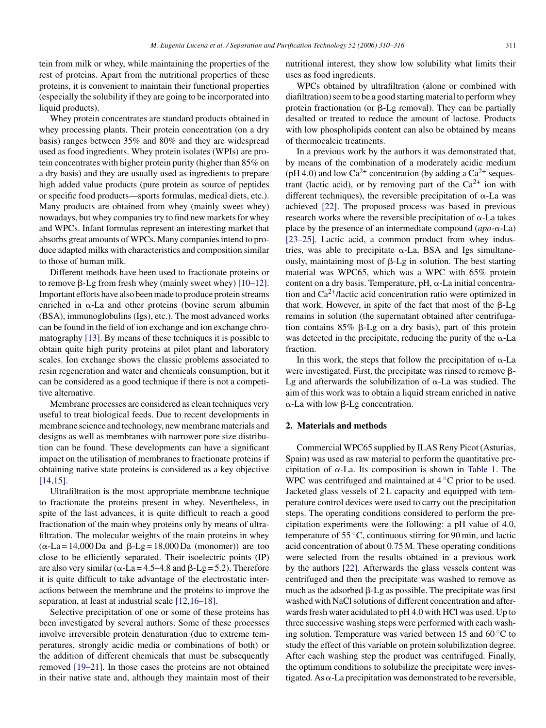tein from milk or whey, while maintaining the properties of the rest of proteins. Apart from the nutritional properties of these proteins, it is convenient to maintain their functional properties (especially the solubility if they are going to be incorporated into liquid products).

Whey protein concentrates are standard products obtained in whey processing plants. Their protein concentration (on a dry basis) ranges between 35% and 80% and they are widespread used as food ingredients. Whey protein isolates (WPIs) are protein concentrates with higher protein purity (higher than 85% on a dry basis) and they are usually used as ingredients to prepare high added value products (pure protein as source of peptides or specific food products—sports formulas, medical diets, etc.). Many products are obtained from whey (mainly sweet whey) nowadays, but whey companies try to find new markets for whey and WPCs. Infant formulas represent an interesting market that absorbs great amounts of WPCs. Many companies intend to produce adapted milks with characteristics and composition similar to those of human milk.

Different methods have been used to fractionate proteins or to remove  $\beta$ -Lg from fresh whey (mainly sweet whey) [\[10–12\].](#page-6-0) Important efforts have also been made to produce protein streams enriched in  $\alpha$ -La and other proteins (bovine serum albumin (BSA), immunoglobulins (Igs), etc.). The most advanced works can be found in the field of ion exchange and ion exchange chromatography [\[13\]. B](#page-6-0)y means of these techniques it is possible to obtain quite high purity proteins at pilot plant and laboratory scales. Ion exchange shows the classic problems associated to resin regeneration and water and chemicals consumption, but it can be considered as a good technique if there is not a competitive alternative.

Membrane processes are considered as clean techniques very useful to treat biological feeds. Due to recent developments in membrane science and technology, new membrane materials and designs as well as membranes with narrower pore size distribution can be found. These developments can have a significant impact on the utilisation of membranes to fractionate proteins if obtaining native state proteins is considered as a key objective [\[14,15\].](#page-6-0)

Ultrafiltration is the most appropriate membrane technique to fractionate the proteins present in whey. Nevertheless, in spite of the last advances, it is quite difficult to reach a good fractionation of the main whey proteins only by means of ultrafiltration. The molecular weights of the main proteins in whey  $(\alpha$ -La = 14,000 Da and  $\beta$ -Lg = 18,000 Da (monomer)) are too close to be efficiently separated. Their isoelectric points (IP) are also very similar ( $\alpha$ -La = 4.5–4.8 and  $\beta$ -Lg = 5.2). Therefore it is quite difficult to take advantage of the electrostatic interactions between the membrane and the proteins to improve the separation, at least at industrial scale [\[12,16–18\].](#page-6-0)

Selective precipitation of one or some of these proteins has been investigated by several authors. Some of these processes involve irreversible protein denaturation (due to extreme temperatures, strongly acidic media or combinations of both) or the addition of different chemicals that must be subsequently removed [\[19–21\].](#page-6-0) In those cases the proteins are not obtained in their native state and, although they maintain most of their nutritional interest, they show low solubility what limits their uses as food ingredients.

WPCs obtained by ultrafiltration (alone or combined with diafiltration) seem to be a good starting material to perform whey protein fractionation (or  $\beta$ -Lg removal). They can be partially desalted or treated to reduce the amount of lactose. Products with low phospholipids content can also be obtained by means of thermocalcic treatments.

In a previous work by the authors it was demonstrated that, by means of the combination of a moderately acidic medium (pH 4.0) and low  $Ca^{2+}$  concentration (by adding a  $Ca^{2+}$  sequestrant (lactic acid), or by removing part of the  $Ca^{2+}$  ion with different techniques), the reversible precipitation of  $\alpha$ -La was achieved [\[22\].](#page-6-0) The proposed process was based in previous research works where the reversible precipitation of  $\alpha$ -La takes place by the presence of an intermediate compound  $(apo-\alpha-La)$ [\[23–25\].](#page-6-0) Lactic acid, a common product from whey industries, was able to precipitate  $\alpha$ -La, BSA and Igs simultaneously, maintaining most of  $\beta$ -Lg in solution. The best starting material was WPC65, which was a WPC with 65% protein content on a dry basis. Temperature, pH,  $\alpha$ -La initial concentration and  $Ca^{2+}/$ lactic acid concentration ratio were optimized in that work. However, in spite of the fact that most of the  $\beta$ -Lg remains in solution (the supernatant obtained after centrifugation contains  $85\%$   $\beta$ -Lg on a dry basis), part of this protein was detected in the precipitate, reducing the purity of the  $\alpha$ -La fraction.

In this work, the steps that follow the precipitation of  $\alpha$ -La were investigated. First, the precipitate was rinsed to remove  $\beta$ -Lg and afterwards the solubilization of  $\alpha$ -La was studied. The aim of this work was to obtain a liquid stream enriched in native  $\alpha$ -La with low  $\beta$ -Lg concentration.

#### **2. Materials and methods**

Commercial WPC65 supplied by ILAS Reny Picot (Asturias, Spain) was used as raw material to perform the quantitative precipitation of  $\alpha$ -La. Its composition is shown in [Table 1.](#page-2-0) The WPC was centrifuged and maintained at 4 ◦C prior to be used. Jacketed glass vessels of 2L capacity and equipped with temperature control devices were used to carry out the precipitation steps. The operating conditions considered to perform the precipitation experiments were the following: a pH value of 4.0, temperature of  $55^{\circ}$ C, continuous stirring for 90 min, and lactic acid concentration of about 0.75 M. These operating conditions were selected from the results obtained in a previous work by the authors [\[22\].](#page-6-0) Afterwards the glass vessels content was centrifuged and then the precipitate was washed to remove as much as the adsorbed  $\beta$ -Lg as possible. The precipitate was first washed with NaCl solutions of different concentration and afterwards fresh water acidulated to pH 4.0 with HCl was used. Up to three successive washing steps were performed with each washing solution. Temperature was varied between 15 and 60 ◦C to study the effect of this variable on protein solubilization degree. After each washing step the product was centrifuged. Finally, the optimum conditions to solubilize the precipitate were investigated. As  $\alpha$ -La precipitation was demonstrated to be reversible,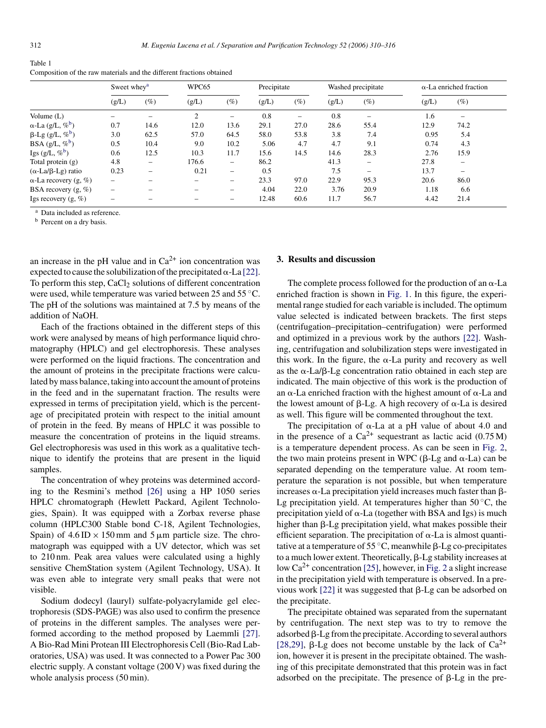<span id="page-2-0"></span>

| Table 1                                                               |
|-----------------------------------------------------------------------|
| Composition of the raw materials and the different fractions obtained |

|                                    | Sweet whey <sup>a</sup>  |                          | WPC65 |        | Precipitate |        | Washed precipitate |                          | $\alpha$ -La enriched fraction |                          |
|------------------------------------|--------------------------|--------------------------|-------|--------|-------------|--------|--------------------|--------------------------|--------------------------------|--------------------------|
|                                    | (g/L)                    | $(\%)$                   | (g/L) | $(\%)$ | (g/L)       | $(\%)$ | (g/L)              | $(\%)$                   | (g/L)                          | $(\%)$                   |
| Volume $(L)$                       |                          |                          | 2     |        | 0.8         | -      | 0.8                |                          | 1.6                            |                          |
| $\alpha$ -La (g/L, $\%^b$ )        | 0.7                      | 14.6                     | 12.0  | 13.6   | 29.1        | 27.0   | 28.6               | 55.4                     | 12.9                           | 74.2                     |
| $\beta$ -Lg (g/L, % <sup>b</sup> ) | 3.0                      | 62.5                     | 57.0  | 64.5   | 58.0        | 53.8   | 3.8                | 7.4                      | 0.95                           | 5.4                      |
| BSA $(g/L, \mathcal{C}^b)$         | 0.5                      | 10.4                     | 9.0   | 10.2   | 5.06        | 4.7    | 4.7                | 9.1                      | 0.74                           | 4.3                      |
| Igs $(g/L, \%^b)$                  | 0.6                      | 12.5                     | 10.3  | 11.7   | 15.6        | 14.5   | 14.6               | 28.3                     | 2.76                           | 15.9                     |
| Total protein $(g)$                | 4.8                      | $\overline{\phantom{0}}$ | 176.6 | -      | 86.2        |        | 41.3               | $\overline{\phantom{0}}$ | 27.8                           | $\overline{\phantom{0}}$ |
| $(\alpha$ -La/ $\beta$ -Lg) ratio  | 0.23                     | $\overline{\phantom{0}}$ | 0.21  | $-$    | 0.5         |        | 7.5                | $\overline{\phantom{a}}$ | 13.7                           |                          |
| $\alpha$ -La recovery (g, %)       | $\overline{\phantom{0}}$ |                          |       |        | 23.3        | 97.0   | 22.9               | 95.3                     | 20.6                           | 86.0                     |
| BSA recovery $(g, \%)$             | -                        |                          |       |        | 4.04        | 22.0   | 3.76               | 20.9                     | 1.18                           | 6.6                      |
| Igs recovery $(g, \%)$             |                          |                          |       |        | 12.48       | 60.6   | 11.7               | 56.7                     | 4.42                           | 21.4                     |

<sup>a</sup> Data included as reference.

<sup>b</sup> Percent on a dry basis.

an increase in the pH value and in  $Ca^{2+}$  ion concentration was expected to cause the solubilization of the precipitated  $\alpha$ -La [\[22\].](#page-6-0) To perform this step,  $CaCl<sub>2</sub>$  solutions of different concentration were used, while temperature was varied between 25 and 55 °C. The pH of the solutions was maintained at 7.5 by means of the addition of NaOH.

Each of the fractions obtained in the different steps of this work were analysed by means of high performance liquid chromatography (HPLC) and gel electrophoresis. These analyses were performed on the liquid fractions. The concentration and the amount of proteins in the precipitate fractions were calculated by mass balance, taking into account the amount of proteins in the feed and in the supernatant fraction. The results were expressed in terms of precipitation yield, which is the percentage of precipitated protein with respect to the initial amount of protein in the feed. By means of HPLC it was possible to measure the concentration of proteins in the liquid streams. Gel electrophoresis was used in this work as a qualitative technique to identify the proteins that are present in the liquid samples.

The concentration of whey proteins was determined according to the Resmini's method [\[26\]](#page-6-0) using a HP 1050 series HPLC chromatograph (Hewlett Packard, Agilent Technologies, Spain). It was equipped with a Zorbax reverse phase column (HPLC300 Stable bond C-18, Agilent Technologies, Spain) of  $4.6 \text{ ID} \times 150 \text{ mm}$  and  $5 \mu \text{m}$  particle size. The chromatograph was equipped with a UV detector, which was set to 210 nm. Peak area values were calculated using a highly sensitive ChemStation system (Agilent Technology, USA). It was even able to integrate very small peaks that were not visible.

Sodium dodecyl (lauryl) sulfate-polyacrylamide gel electrophoresis (SDS-PAGE) was also used to confirm the presence of proteins in the different samples. The analyses were performed according to the method proposed by Laemmli [\[27\].](#page-6-0) A Bio-Rad Mini Protean III Electrophoresis Cell (Bio-Rad Laboratories, USA) was used. It was connected to a Power Pac 300 electric supply. A constant voltage (200 V) was fixed during the whole analysis process (50 min).

#### **3. Results and discussion**

The complete process followed for the production of an  $\alpha$ -La enriched fraction is shown in [Fig. 1.](#page-3-0) In this figure, the experimental range studied for each variable is included. The optimum value selected is indicated between brackets. The first steps (centrifugation–precipitation–centrifugation) were performed and optimized in a previous work by the authors [\[22\].](#page-6-0) Washing, centrifugation and solubilization steps were investigated in this work. In the figure, the  $\alpha$ -La purity and recovery as well as the  $\alpha$ -La/ $\beta$ -Lg concentration ratio obtained in each step are indicated. The main objective of this work is the production of an  $\alpha$ -La enriched fraction with the highest amount of  $\alpha$ -La and the lowest amount of  $\beta$ -Lg. A high recovery of  $\alpha$ -La is desired as well. This figure will be commented throughout the text.

The precipitation of  $\alpha$ -La at a pH value of about 4.0 and in the presence of a  $Ca^{2+}$  sequestrant as lactic acid (0.75 M) is a temperature dependent process. As can be seen in [Fig. 2,](#page-3-0) the two main proteins present in WPC ( $\beta$ -Lg and  $\alpha$ -La) can be separated depending on the temperature value. At room temperature the separation is not possible, but when temperature increases  $\alpha$ -La precipitation yield increases much faster than  $\beta$ -Lg precipitation yield. At temperatures higher than  $50^{\circ}$ C, the precipitation yield of  $\alpha$ -La (together with BSA and Igs) is much higher than  $\beta$ -Lg precipitation yield, what makes possible their efficient separation. The precipitation of  $\alpha$ -La is almost quantitative at a temperature of 55 °C, meanwhile  $\beta$ -Lg co-precipitates to a much lower extent. Theoretically,  $\beta$ -Lg stability increases at low  $Ca^{2+}$  concentration [\[25\], h](#page-6-0)owever, in [Fig. 2](#page-3-0) a slight increase in the precipitation yield with temperature is observed. In a previous work  $[22]$  it was suggested that  $\beta$ -Lg can be adsorbed on the precipitate.

The precipitate obtained was separated from the supernatant by centrifugation. The next step was to try to remove the adsorbed  $\beta$ -Lg from the precipitate. According to several authors [\[28,29\],](#page-6-0)  $\beta$ -Lg does not become unstable by the lack of Ca<sup>2+</sup> ion, however it is present in the precipitate obtained. The washing of this precipitate demonstrated that this protein was in fact adsorbed on the precipitate. The presence of  $\beta$ -Lg in the pre-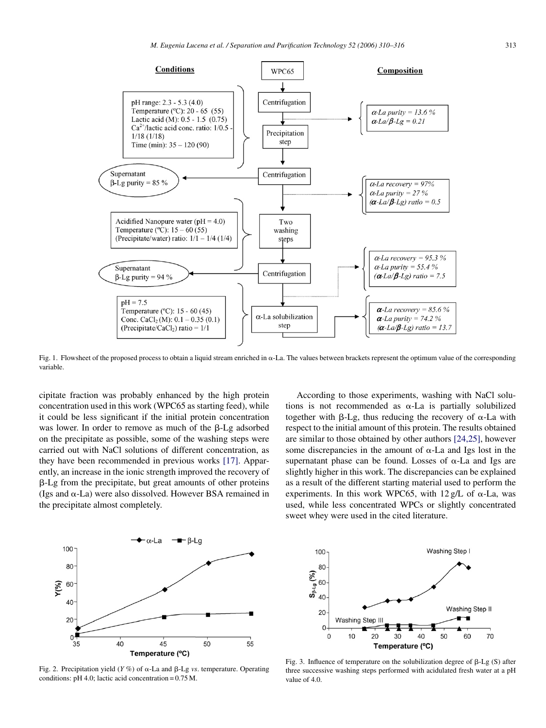<span id="page-3-0"></span>

Fig. 1. Flowsheet of the proposed process to obtain a liquid stream enriched in  $\alpha$ -La. The values between brackets represent the optimum value of the corresponding variable.

cipitate fraction was probably enhanced by the high protein concentration used in this work (WPC65 as starting feed), while it could be less significant if the initial protein concentration was lower. In order to remove as much of the  $\beta$ -Lg adsorbed on the precipitate as possible, some of the washing steps were carried out with NaCl solutions of different concentration, as they have been recommended in previous works [\[17\].](#page-6-0) Apparently, an increase in the ionic strength improved the recovery of  $\beta$ -Lg from the precipitate, but great amounts of other proteins (Igs and  $\alpha$ -La) were also dissolved. However BSA remained in the precipitate almost completely.

According to those experiments, washing with NaCl solutions is not recommended as  $\alpha$ -La is partially solubilized together with  $\beta$ -Lg, thus reducing the recovery of  $\alpha$ -La with respect to the initial amount of this protein. The results obtained are similar to those obtained by other authors [\[24,25\],](#page-6-0) however some discrepancies in the amount of  $\alpha$ -La and Igs lost in the supernatant phase can be found. Losses of  $\alpha$ -La and Igs are slightly higher in this work. The discrepancies can be explained as a result of the different starting material used to perform the experiments. In this work WPC65, with  $12 \text{ g/L}$  of  $\alpha$ -La, was used, while less concentrated WPCs or slightly concentrated sweet whey were used in the cited literature.



Fig. 2. Precipitation yield  $(Y\%)$  of  $\alpha$ -La and  $\beta$ -Lg *vs*. temperature. Operating conditions: pH 4.0; lactic acid concentration = 0.75 M.



Fig. 3. Influence of temperature on the solubilization degree of  $\beta$ -Lg (S) after three successive washing steps performed with acidulated fresh water at a pH value of 4.0.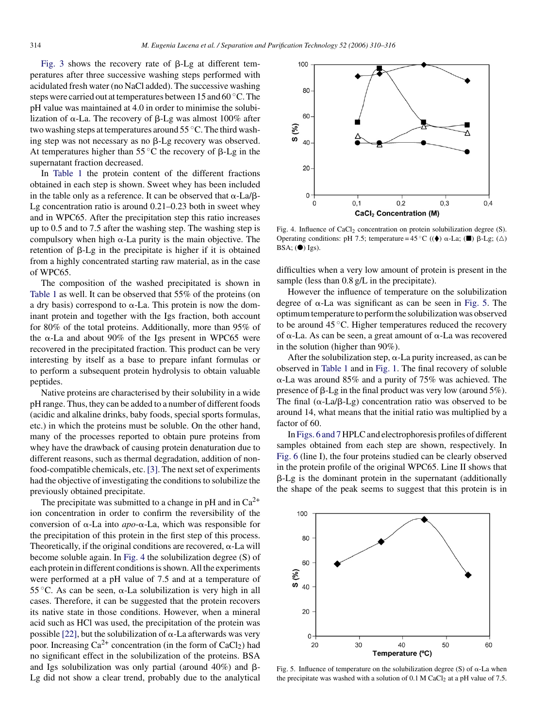[Fig. 3](#page-3-0) shows the recovery rate of  $\beta$ -Lg at different temperatures after three successive washing steps performed with acidulated fresh water (no NaCl added). The successive washing steps were carried out at temperatures between 15 and 60 °C. The pH value was maintained at 4.0 in order to minimise the solubilization of  $\alpha$ -La. The recovery of  $\beta$ -Lg was almost 100% after two washing steps at temperatures around 55 ◦C. The third washing step was not necessary as no  $\beta$ -Lg recovery was observed. At temperatures higher than  $55^{\circ}$ C the recovery of  $\beta$ -Lg in the supernatant fraction decreased.

In [Table 1](#page-2-0) the protein content of the different fractions obtained in each step is shown. Sweet whey has been included in the table only as a reference. It can be observed that  $\alpha$ -La/ $\beta$ -Lg concentration ratio is around 0.21–0.23 both in sweet whey and in WPC65. After the precipitation step this ratio increases up to 0.5 and to 7.5 after the washing step. The washing step is compulsory when high  $\alpha$ -La purity is the main objective. The retention of  $\beta$ -Lg in the precipitate is higher if it is obtained from a highly concentrated starting raw material, as in the case of WPC65.

The composition of the washed precipitated is shown in [Table 1](#page-2-0) as well. It can be observed that 55% of the proteins (on a dry basis) correspond to  $\alpha$ -La. This protein is now the dominant protein and together with the Igs fraction, both account for 80% of the total proteins. Additionally, more than 95% of the  $\alpha$ -La and about 90% of the Igs present in WPC65 were recovered in the precipitated fraction. This product can be very interesting by itself as a base to prepare infant formulas or to perform a subsequent protein hydrolysis to obtain valuable peptides.

Native proteins are characterised by their solubility in a wide pH range. Thus, they can be added to a number of different foods (acidic and alkaline drinks, baby foods, special sports formulas, etc.) in which the proteins must be soluble. On the other hand, many of the processes reported to obtain pure proteins from whey have the drawback of causing protein denaturation due to different reasons, such as thermal degradation, addition of nonfood-compatible chemicals, etc. [\[3\]. T](#page-6-0)he next set of experiments had the objective of investigating the conditions to solubilize the previously obtained precipitate.

The precipitate was submitted to a change in pH and in  $Ca^{2+}$ ion concentration in order to confirm the reversibility of the conversion of  $\alpha$ -La into *apo*- $\alpha$ -La, which was responsible for the precipitation of this protein in the first step of this process. Theoretically, if the original conditions are recovered,  $\alpha$ -La will become soluble again. In Fig. 4 the solubilization degree (S) of each protein in different conditions is shown. All the experiments were performed at a pH value of 7.5 and at a temperature of 55 °C. As can be seen,  $\alpha$ -La solubilization is very high in all cases. Therefore, it can be suggested that the protein recovers its native state in those conditions. However, when a mineral acid such as HCl was used, the precipitation of the protein was possible  $[22]$ , but the solubilization of  $\alpha$ -La afterwards was very poor. Increasing  $Ca^{2+}$  concentration (in the form of  $CaCl<sub>2</sub>$ ) had no significant effect in the solubilization of the proteins. BSA and Igs solubilization was only partial (around  $40\%$ ) and  $\beta$ -Lg did not show a clear trend, probably due to the analytical



Fig. 4. Influence of  $CaCl<sub>2</sub>$  concentration on protein solubilization degree (S). Operating conditions: pH 7.5; temperature =  $45^{\circ}$ C (( $\blacklozenge$ )  $\alpha$ -La; ( $\blacksquare$ )  $\beta$ -Lg; ( $\triangle$ )  $BSA$ ; ( $\bullet$ ) Igs).

difficulties when a very low amount of protein is present in the sample (less than  $0.8 \text{ g/L}$  in the precipitate).

However the influence of temperature on the solubilization degree of  $\alpha$ -La was significant as can be seen in Fig. 5. The optimum temperature to perform the solubilization was observed to be around 45 ◦C. Higher temperatures reduced the recovery of  $\alpha$ -La. As can be seen, a great amount of  $\alpha$ -La was recovered in the solution (higher than 90%).

After the solubilization step,  $\alpha$ -La purity increased, as can be observed in [Table 1](#page-2-0) and in [Fig. 1. T](#page-3-0)he final recovery of soluble --La was around 85% and a purity of 75% was achieved. The presence of  $\beta$ -Lg in the final product was very low (around 5%). The final  $(\alpha - La/B - Lg)$  concentration ratio was observed to be around 14, what means that the initial ratio was multiplied by a factor of 60.

In [Figs. 6 and 7](#page-5-0) HPLC and electrophoresis profiles of different samples obtained from each step are shown, respectively. In [Fig. 6](#page-5-0) (line I), the four proteins studied can be clearly observed in the protein profile of the original WPC65. Line II shows that  $\beta$ -Lg is the dominant protein in the supernatant (additionally the shape of the peak seems to suggest that this protein is in



Fig. 5. Influence of temperature on the solubilization degree  $(S)$  of  $\alpha$ -La when the precipitate was washed with a solution of  $0.1$  M CaCl<sub>2</sub> at a pH value of 7.5.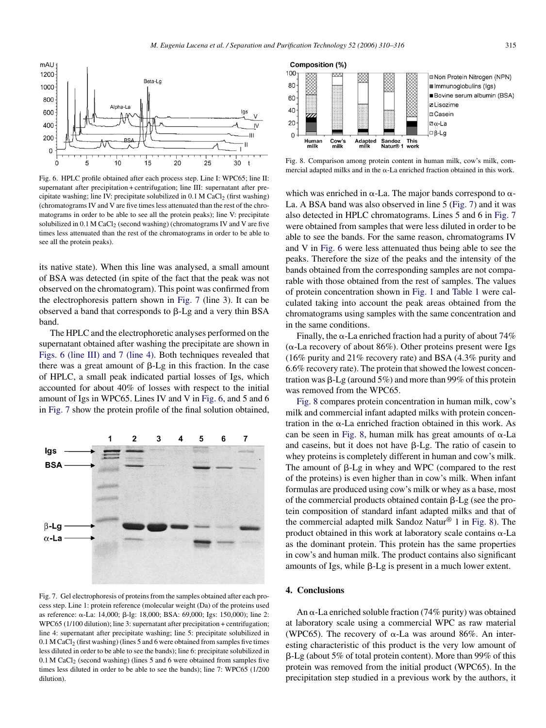<span id="page-5-0"></span>

Fig. 6. HPLC profile obtained after each process step. Line I: WPC65; line II: supernatant after precipitation + centrifugation; line III: supernatant after precipitate washing; line IV: precipitate solubilized in  $0.1$  M CaCl<sub>2</sub> (first washing) (chromatograms IV and V are five times less attenuated than the rest of the chromatograms in order to be able to see all the protein peaks); line V: precipitate solubilized in  $0.1$  M CaCl<sub>2</sub> (second washing) (chromatograms IV and V are five times less attenuated than the rest of the chromatograms in order to be able to see all the protein peaks).

its native state). When this line was analysed, a small amount of BSA was detected (in spite of the fact that the peak was not observed on the chromatogram). This point was confirmed from the electrophoresis pattern shown in Fig. 7 (line 3). It can be observed a band that corresponds to  $\beta$ -Lg and a very thin BSA band.

The HPLC and the electrophoretic analyses performed on the supernatant obtained after washing the precipitate are shown in Figs. 6 (line III) and 7 (line 4). Both techniques revealed that there was a great amount of  $\beta$ -Lg in this fraction. In the case of HPLC, a small peak indicated partial losses of Igs, which accounted for about 40% of losses with respect to the initial amount of Igs in WPC65. Lines IV and V in Fig. 6, and 5 and 6 in Fig. 7 show the protein profile of the final solution obtained,



Fig. 7. Gel electrophoresis of proteins from the samples obtained after each process step. Line 1: protein reference (molecular weight (Da) of the proteins used as reference: α-La: 14,000; β-lg: 18,000; BSA: 69,000; Igs: 150,000); line 2: WPC65 (1/100 dilution); line 3: supernatant after precipitation + centrifugation; line 4: supernatant after precipitate washing; line 5: precipitate solubilized in 0.1 M CaCl<sub>2</sub> (first washing) (lines 5 and 6 were obtained from samples five times less diluted in order to be able to see the bands); line 6: precipitate solubilized in  $0.1$  M CaCl<sub>2</sub> (second washing) (lines 5 and 6 were obtained from samples five times less diluted in order to be able to see the bands); line 7: WPC65 (1/200 dilution).



Fig. 8. Comparison among protein content in human milk, cow's milk, commercial adapted milks and in the  $\alpha$ -La enriched fraction obtained in this work.

which was enriched in  $\alpha$ -La. The major bands correspond to  $\alpha$ -La. A BSA band was also observed in line 5 (Fig. 7) and it was also detected in HPLC chromatograms. Lines 5 and 6 in Fig. 7 were obtained from samples that were less diluted in order to be able to see the bands. For the same reason, chromatograms IV and V in Fig. 6 were less attenuated thus being able to see the peaks. Therefore the size of the peaks and the intensity of the bands obtained from the corresponding samples are not comparable with those obtained from the rest of samples. The values of protein concentration shown in [Fig. 1](#page-3-0) and [Table 1](#page-2-0) were calculated taking into account the peak areas obtained from the chromatograms using samples with the same concentration and in the same conditions.

Finally, the  $\alpha$ -La enriched fraction had a purity of about 74%  $(\alpha$ -La recovery of about 86%). Other proteins present were Igs (16% purity and 21% recovery rate) and BSA (4.3% purity and 6.6% recovery rate). The protein that showed the lowest concentration was  $\beta$ -Lg (around 5%) and more than 99% of this protein was removed from the WPC65.

Fig. 8 compares protein concentration in human milk, cow's milk and commercial infant adapted milks with protein concentration in the  $\alpha$ -La enriched fraction obtained in this work. As can be seen in Fig. 8, human milk has great amounts of  $\alpha$ -La and caseins, but it does not have B-Lg. The ratio of casein to whey proteins is completely different in human and cow's milk. The amount of  $\beta$ -Lg in whey and WPC (compared to the rest of the proteins) is even higher than in cow's milk. When infant formulas are produced using cow's milk or whey as a base, most of the commercial products obtained contain  $\beta$ -Lg (see the protein composition of standard infant adapted milks and that of the commercial adapted milk Sandoz Natur<sup>®</sup> 1 in Fig. 8). The product obtained in this work at laboratory scale contains  $\alpha$ -La as the dominant protein. This protein has the same properties in cow's and human milk. The product contains also significant amounts of Igs, while  $\beta$ -Lg is present in a much lower extent.

## **4. Conclusions**

An  $\alpha$ -La enriched soluble fraction (74% purity) was obtained at laboratory scale using a commercial WPC as raw material (WPC65). The recovery of  $\alpha$ -La was around 86%. An interesting characteristic of this product is the very low amount of  $\beta$ -Lg (about 5% of total protein content). More than 99% of this protein was removed from the initial product (WPC65). In the precipitation step studied in a previous work by the authors, it